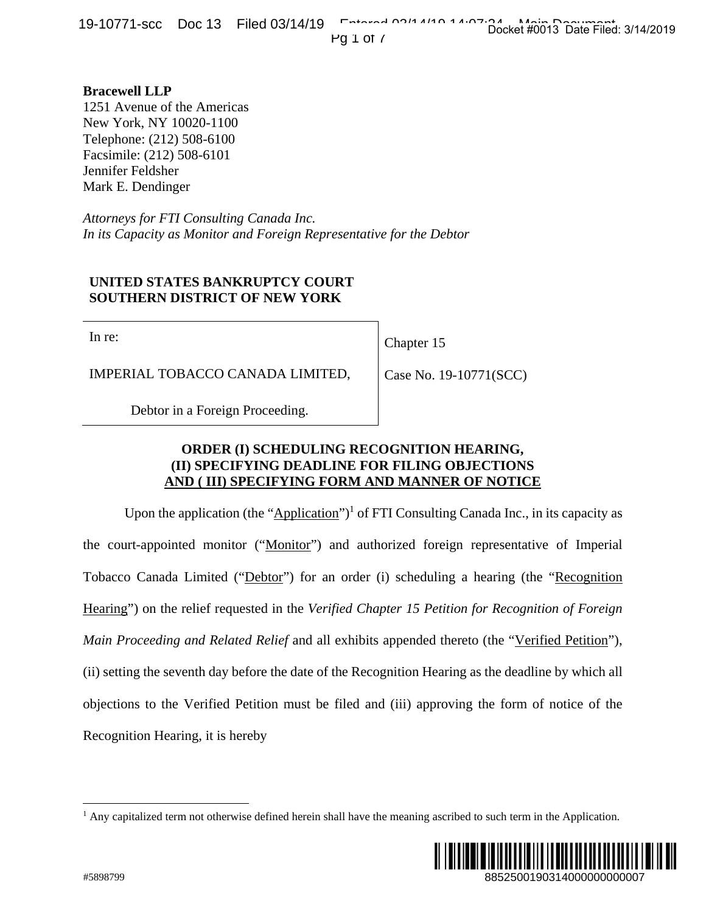**Bracewell LLP**  1251 Avenue of the Americas New York, NY 10020-1100 Telephone: (212) 508-6100 Facsimile: (212) 508-6101 Jennifer Feldsher Mark E. Dendinger

*Attorneys for FTI Consulting Canada Inc. In its Capacity as Monitor and Foreign Representative for the Debtor*

## **UNITED STATES BANKRUPTCY COURT SOUTHERN DISTRICT OF NEW YORK**

In re:

Chapter 15

IMPERIAL TOBACCO CANADA LIMITED,

Case No. 19-10771(SCC)

Debtor in a Foreign Proceeding.

## **ORDER (I) SCHEDULING RECOGNITION HEARING, (II) SPECIFYING DEADLINE FOR FILING OBJECTIONS AND ( III) SPECIFYING FORM AND MANNER OF NOTICE**

Upon the application (the "Application")<sup>1</sup> of FTI Consulting Canada Inc., in its capacity as the court-appointed monitor ("Monitor") and authorized foreign representative of Imperial Tobacco Canada Limited ("Debtor") for an order (i) scheduling a hearing (the "Recognition Hearing") on the relief requested in the *Verified Chapter 15 Petition for Recognition of Foreign Main Proceeding and Related Relief* and all exhibits appended thereto (the "Verified Petition"), (ii) setting the seventh day before the date of the Recognition Hearing as the deadline by which all objections to the Verified Petition must be filed and (iii) approving the form of notice of the Recognition Hearing, it is hereby 1(SCC)<br>
1(SCC)<br> **RING,<br>
RING,**<br> **RING,**<br> **NOTICE**<br>
Ida Inc., in its capacity as<br>
presentative of Imperial<br>
raring (the "<u>Necognition</u><br> *Recognition of Foreign*<br>
(the "<u>Verified Petition</u>"),<br>
the deadline by which all<br>
ne

<sup>&</sup>lt;sup>1</sup> Any capitalized term not otherwise defined herein shall have the meaning ascribed to such term in the Application.



 $\overline{a}$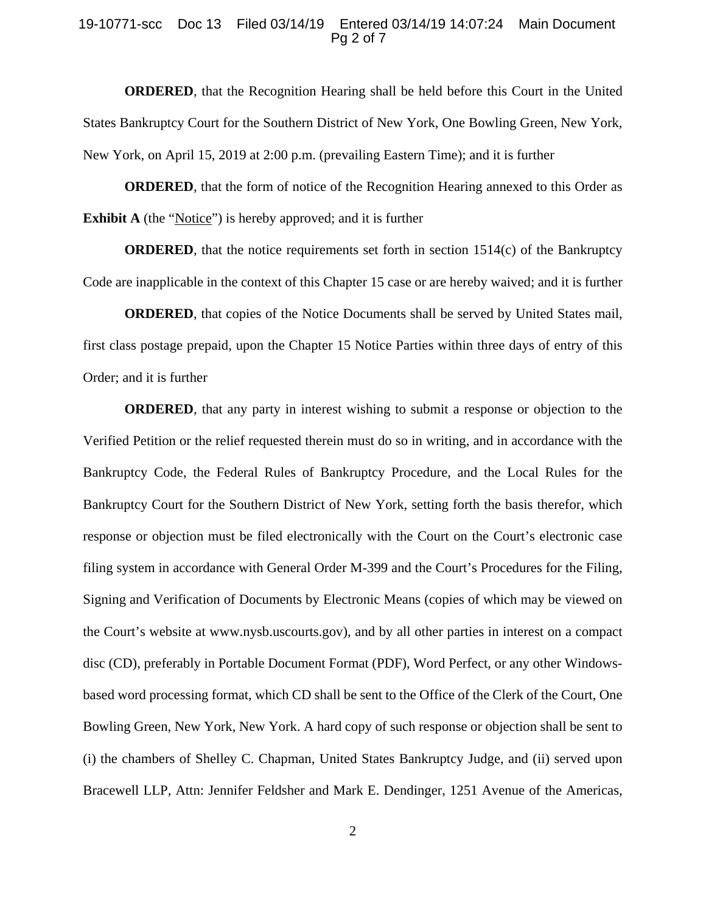#### 19-10771-scc Doc 13 Filed 03/14/19 Entered 03/14/19 14:07:24 Main Document Pg 2 of 7

**ORDERED**, that the Recognition Hearing shall be held before this Court in the United States Bankruptcy Court for the Southern District of New York, One Bowling Green, New York, New York, on April 15, 2019 at 2:00 p.m. (prevailing Eastern Time); and it is further

**ORDERED**, that the form of notice of the Recognition Hearing annexed to this Order as **Exhibit A** (the "Notice") is hereby approved; and it is further

**ORDERED**, that the notice requirements set forth in section 1514(c) of the Bankruptcy Code are inapplicable in the context of this Chapter 15 case or are hereby waived; and it is further

**ORDERED**, that copies of the Notice Documents shall be served by United States mail, first class postage prepaid, upon the Chapter 15 Notice Parties within three days of entry of this Order; and it is further

**ORDERED**, that any party in interest wishing to submit a response or objection to the Verified Petition or the relief requested therein must do so in writing, and in accordance with the Bankruptcy Code, the Federal Rules of Bankruptcy Procedure, and the Local Rules for the Bankruptcy Court for the Southern District of New York, setting forth the basis therefor, which response or objection must be filed electronically with the Court on the Court's electronic case filing system in accordance with General Order M-399 and the Court's Procedures for the Filing, Signing and Verification of Documents by Electronic Means (copies of which may be viewed on the Court's website at www.nysb.uscourts.gov), and by all other parties in interest on a compact disc (CD), preferably in Portable Document Format (PDF), Word Perfect, or any other Windowsbased word processing format, which CD shall be sent to the Office of the Clerk of the Court, One Bowling Green, New York, New York. A hard copy of such response or objection shall be sent to (i) the chambers of Shelley C. Chapman, United States Bankruptcy Judge, and (ii) served upon Bracewell LLP, Attn: Jennifer Feldsher and Mark E. Dendinger, 1251 Avenue of the Americas,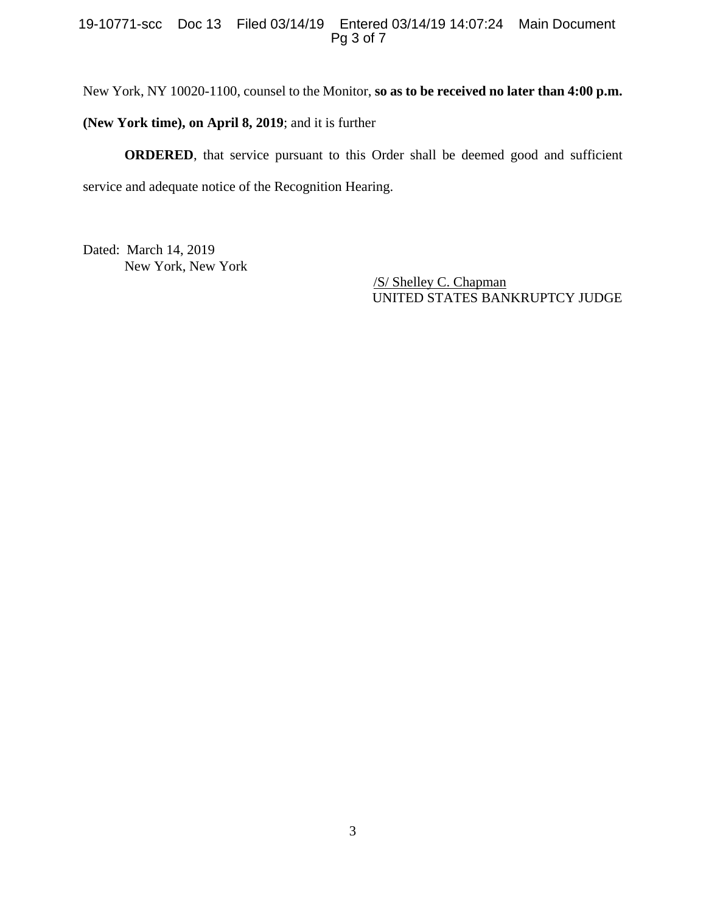### 19-10771-scc Doc 13 Filed 03/14/19 Entered 03/14/19 14:07:24 Main Document Pg 3 of 7

New York, NY 10020-1100, counsel to the Monitor, **so as to be received no later than 4:00 p.m.** 

**(New York time), on April 8, 2019**; and it is further

**ORDERED**, that service pursuant to this Order shall be deemed good and sufficient service and adequate notice of the Recognition Hearing.

Dated: March 14, 2019 New York, New York

 /S/ Shelley C. Chapman UNITED STATES BANKRUPTCY JUDGE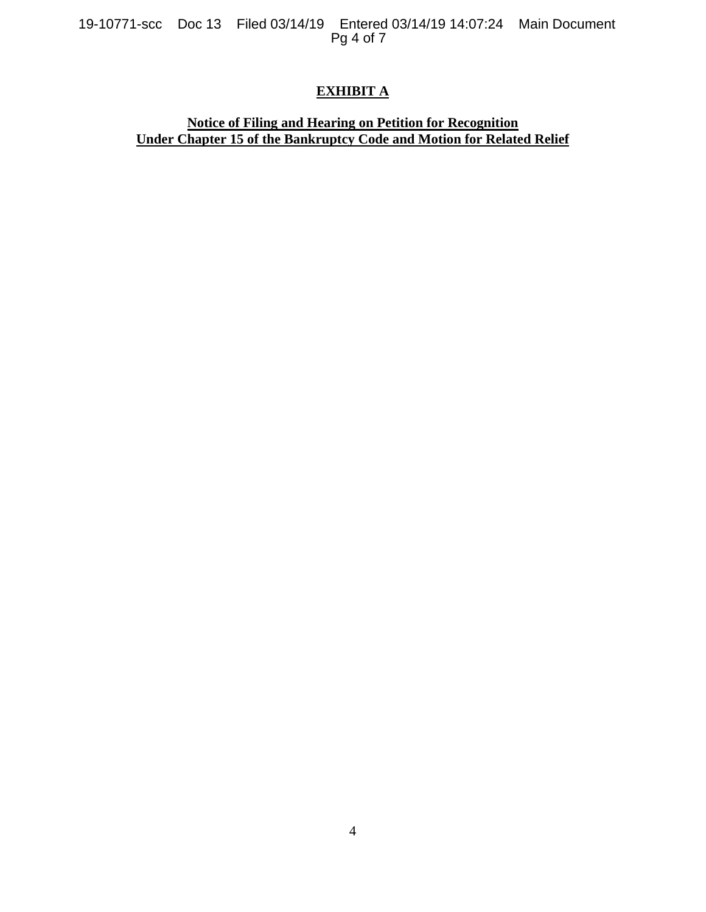19-10771-scc Doc 13 Filed 03/14/19 Entered 03/14/19 14:07:24 Main Document Pg 4 of 7

# **EXHIBIT A**

### **Notice of Filing and Hearing on Petition for Recognition Under Chapter 15 of the Bankruptcy Code and Motion for Related Relief**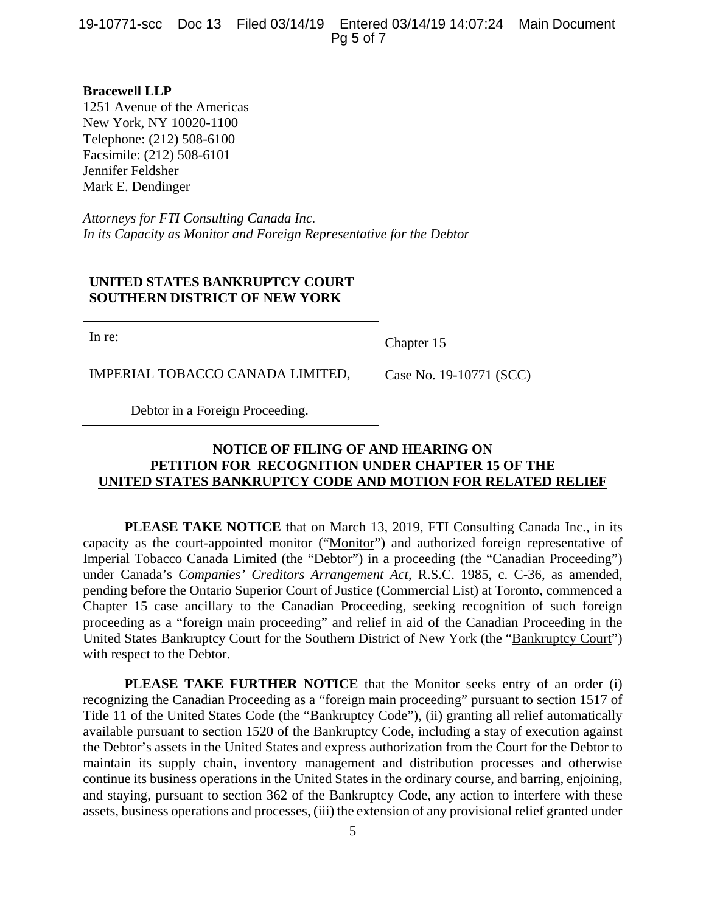19-10771-scc Doc 13 Filed 03/14/19 Entered 03/14/19 14:07:24 Main Document Pg 5 of 7

**Bracewell LLP**  1251 Avenue of the Americas New York, NY 10020-1100 Telephone: (212) 508-6100 Facsimile: (212) 508-6101 Jennifer Feldsher Mark E. Dendinger

*Attorneys for FTI Consulting Canada Inc. In its Capacity as Monitor and Foreign Representative for the Debtor*

### **UNITED STATES BANKRUPTCY COURT SOUTHERN DISTRICT OF NEW YORK**

In re:

Chapter 15

IMPERIAL TOBACCO CANADA LIMITED,

Case No. 19-10771 (SCC)

Debtor in a Foreign Proceeding.

## **NOTICE OF FILING OF AND HEARING ON PETITION FOR RECOGNITION UNDER CHAPTER 15 OF THE UNITED STATES BANKRUPTCY CODE AND MOTION FOR RELATED RELIEF**

**PLEASE TAKE NOTICE** that on March 13, 2019, FTI Consulting Canada Inc., in its capacity as the court-appointed monitor ("Monitor") and authorized foreign representative of Imperial Tobacco Canada Limited (the "Debtor") in a proceeding (the "Canadian Proceeding") under Canada's *Companies' Creditors Arrangement Act*, R.S.C. 1985, c. C-36, as amended, pending before the Ontario Superior Court of Justice (Commercial List) at Toronto, commenced a Chapter 15 case ancillary to the Canadian Proceeding, seeking recognition of such foreign proceeding as a "foreign main proceeding" and relief in aid of the Canadian Proceeding in the United States Bankruptcy Court for the Southern District of New York (the "Bankruptcy Court") with respect to the Debtor.

**PLEASE TAKE FURTHER NOTICE** that the Monitor seeks entry of an order (i) recognizing the Canadian Proceeding as a "foreign main proceeding" pursuant to section 1517 of Title 11 of the United States Code (the "Bankruptcy Code"), (ii) granting all relief automatically available pursuant to section 1520 of the Bankruptcy Code, including a stay of execution against the Debtor's assets in the United States and express authorization from the Court for the Debtor to maintain its supply chain, inventory management and distribution processes and otherwise continue its business operations in the United States in the ordinary course, and barring, enjoining, and staying, pursuant to section 362 of the Bankruptcy Code, any action to interfere with these assets, business operations and processes, (iii) the extension of any provisional relief granted under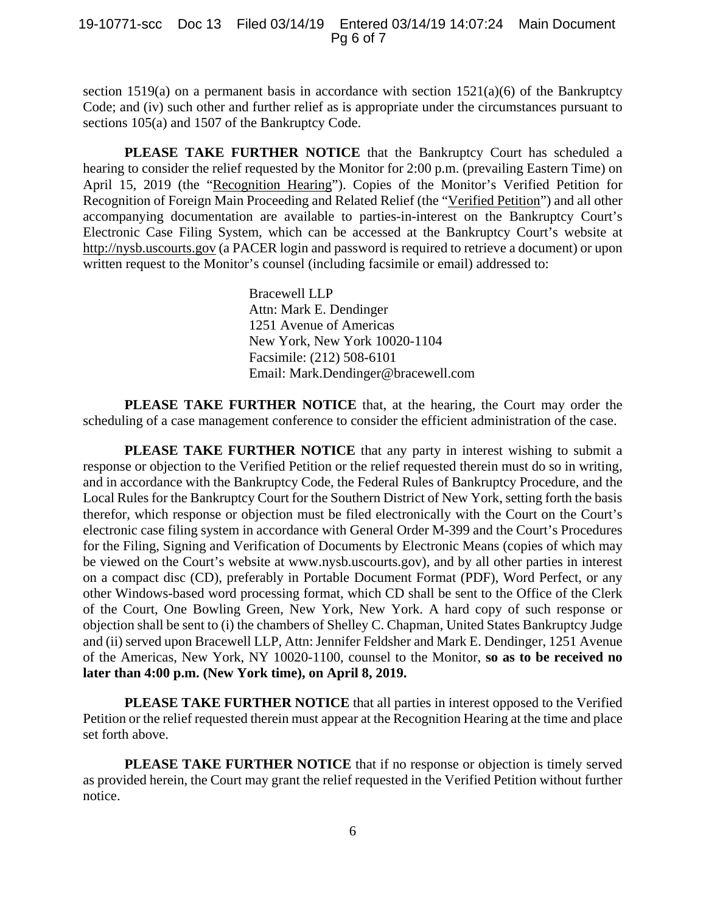section 1519(a) on a permanent basis in accordance with section  $1521(a)(6)$  of the Bankruptcy Code; and (iv) such other and further relief as is appropriate under the circumstances pursuant to sections 105(a) and 1507 of the Bankruptcy Code.

PLEASE TAKE FURTHER NOTICE that the Bankruptcy Court has scheduled a hearing to consider the relief requested by the Monitor for 2:00 p.m. (prevailing Eastern Time) on April 15, 2019 (the "Recognition Hearing"). Copies of the Monitor's Verified Petition for Recognition of Foreign Main Proceeding and Related Relief (the "Verified Petition") and all other accompanying documentation are available to parties-in-interest on the Bankruptcy Court's Electronic Case Filing System, which can be accessed at the Bankruptcy Court's website at http://nysb.uscourts.gov (a PACER login and password is required to retrieve a document) or upon written request to the Monitor's counsel (including facsimile or email) addressed to:

> Bracewell LLP Attn: Mark E. Dendinger 1251 Avenue of Americas New York, New York 10020-1104 Facsimile: (212) 508-6101 Email: Mark.Dendinger@bracewell.com

**PLEASE TAKE FURTHER NOTICE** that, at the hearing, the Court may order the scheduling of a case management conference to consider the efficient administration of the case.

**PLEASE TAKE FURTHER NOTICE** that any party in interest wishing to submit a response or objection to the Verified Petition or the relief requested therein must do so in writing, and in accordance with the Bankruptcy Code, the Federal Rules of Bankruptcy Procedure, and the Local Rules for the Bankruptcy Court for the Southern District of New York, setting forth the basis therefor, which response or objection must be filed electronically with the Court on the Court's electronic case filing system in accordance with General Order M-399 and the Court's Procedures for the Filing, Signing and Verification of Documents by Electronic Means (copies of which may be viewed on the Court's website at www.nysb.uscourts.gov), and by all other parties in interest on a compact disc (CD), preferably in Portable Document Format (PDF), Word Perfect, or any other Windows-based word processing format, which CD shall be sent to the Office of the Clerk of the Court, One Bowling Green, New York, New York. A hard copy of such response or objection shall be sent to (i) the chambers of Shelley C. Chapman, United States Bankruptcy Judge and (ii) served upon Bracewell LLP, Attn: Jennifer Feldsher and Mark E. Dendinger, 1251 Avenue of the Americas, New York, NY 10020-1100, counsel to the Monitor, **so as to be received no later than 4:00 p.m. (New York time), on April 8, 2019.** 

 **PLEASE TAKE FURTHER NOTICE** that all parties in interest opposed to the Verified Petition or the relief requested therein must appear at the Recognition Hearing at the time and place set forth above.

**PLEASE TAKE FURTHER NOTICE** that if no response or objection is timely served as provided herein, the Court may grant the relief requested in the Verified Petition without further notice.